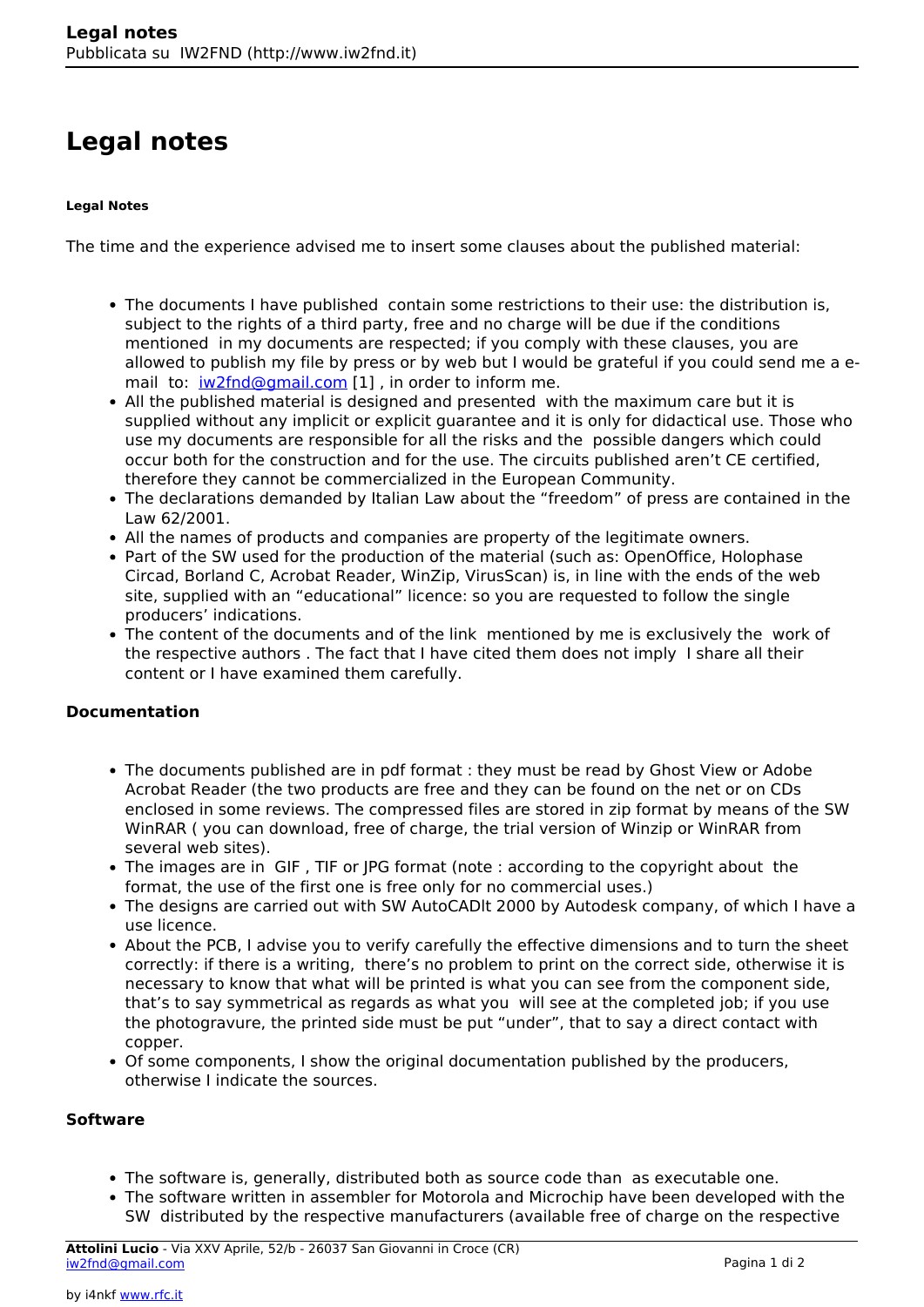# **Legal notes**

#### **Legal Notes**

The time and the experience advised me to insert some clauses about the published material:

- The documents I have published contain some restrictions to their use: the distribution is, subject to the rights of a third party, free and no charge will be due if the conditions mentioned in my documents are respected; if you comply with these clauses, you are allowed to publish my file by press or by web but I would be grateful if you could send me a email to: [iw2fnd@gmail.com](mailto:iw2fnd@gmail.com) [1], in order to inform me.
- All the published material is designed and presented with the maximum care but it is supplied without any implicit or explicit guarantee and it is only for didactical use. Those who use my documents are responsible for all the risks and the possible dangers which could occur both for the construction and for the use. The circuits published aren't CE certified, therefore they cannot be commercialized in the European Community.
- The declarations demanded by Italian Law about the "freedom" of press are contained in the Law 62/2001.
- All the names of products and companies are property of the legitimate owners.
- Part of the SW used for the production of the material (such as: OpenOffice, Holophase Circad, Borland C, Acrobat Reader, WinZip, VirusScan) is, in line with the ends of the web site, supplied with an "educational" licence: so you are requested to follow the single producers' indications.
- The content of the documents and of the link mentioned by me is exclusively the work of the respective authors . The fact that I have cited them does not imply I share all their content or I have examined them carefully.

### **Documentation**

- The documents published are in pdf format : they must be read by Ghost View or Adobe Acrobat Reader (the two products are free and they can be found on the net or on CDs enclosed in some reviews. The compressed files are stored in zip format by means of the SW WinRAR ( you can download, free of charge, the trial version of Winzip or WinRAR from several web sites).
- The images are in GIF, TIF or JPG format (note : according to the copyright about the format, the use of the first one is free only for no commercial uses.)
- The designs are carried out with SW AutoCADlt 2000 by Autodesk company, of which I have a use licence.
- About the PCB, I advise you to verify carefully the effective dimensions and to turn the sheet correctly: if there is a writing, there's no problem to print on the correct side, otherwise it is necessary to know that what will be printed is what you can see from the component side, that's to say symmetrical as regards as what you will see at the completed job; if you use the photogravure, the printed side must be put "under", that to say a direct contact with copper.
- Of some components, I show the original documentation published by the producers, otherwise I indicate the sources.

#### **Software**

- The software is, generally, distributed both as source code than as executable one.
- The software written in assembler for Motorola and Microchip have been developed with the SW distributed by the respective manufacturers (available free of charge on the respective